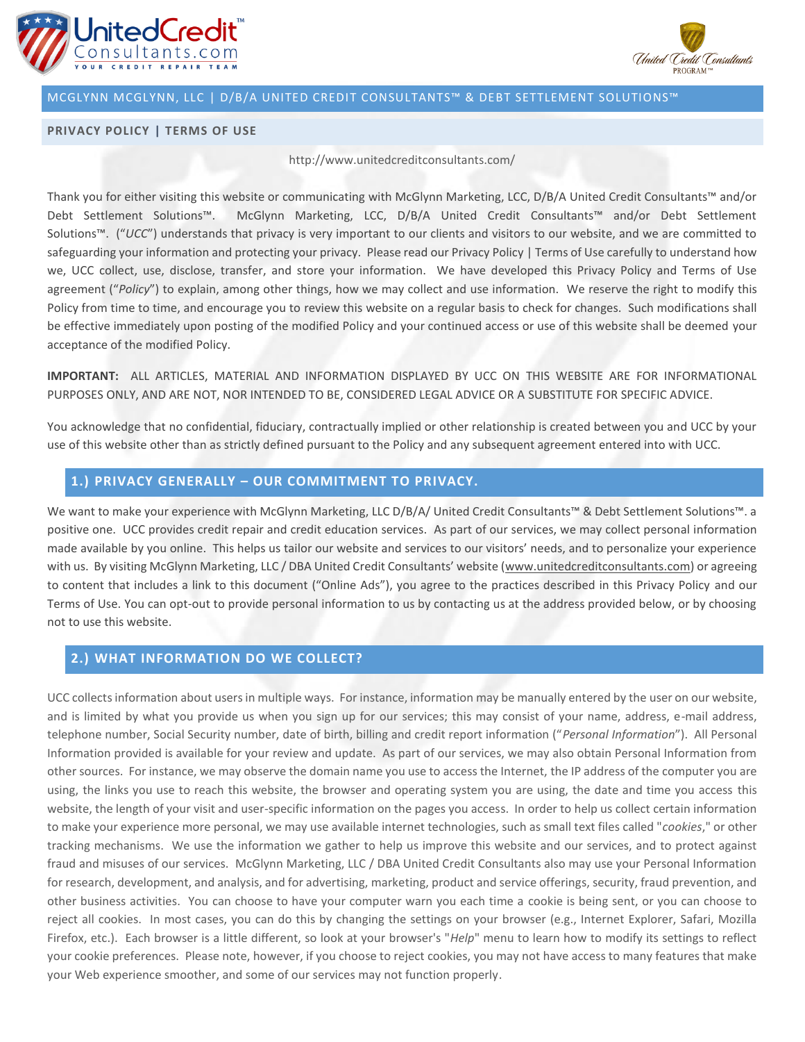



### **PRIVACY POLICY | TERMS OF USE**

#### http://www.unitedcreditconsultants.com/

Thank you for either visiting this website or communicating with McGlynn Marketing, LCC, D/B/A United Credit Consultants™ and/or Debt Settlement Solutions™. McGlynn Marketing, LCC, D/B/A United Credit Consultants™ and/or Debt Settlement Solutions™. ("*UCC*") understands that privacy is very important to our clients and visitors to our website, and we are committed to safeguarding your information and protecting your privacy. Please read our Privacy Policy | Terms of Use carefully to understand how we, UCC collect, use, disclose, transfer, and store your information. We have developed this Privacy Policy and Terms of Use agreement ("*Policy*") to explain, among other things, how we may collect and use information. We reserve the right to modify this Policy from time to time, and encourage you to review this website on a regular basis to check for changes. Such modifications shall be effective immediately upon posting of the modified Policy and your continued access or use of this website shall be deemed your acceptance of the modified Policy.

**IMPORTANT:** ALL ARTICLES, MATERIAL AND INFORMATION DISPLAYED BY UCC ON THIS WEBSITE ARE FOR INFORMATIONAL PURPOSES ONLY, AND ARE NOT, NOR INTENDED TO BE, CONSIDERED LEGAL ADVICE OR A SUBSTITUTE FOR SPECIFIC ADVICE.

You acknowledge that no confidential, fiduciary, contractually implied or other relationship is created between you and UCC by your use of this website other than as strictly defined pursuant to the Policy and any subsequent agreement entered into with UCC.

### **1.) PRIVACY GENERALLY – OUR COMMITMENT TO PRIVACY.**

We want to make your experience with McGlynn Marketing, LLC D/B/A/ United Credit Consultants™ & Debt Settlement Solutions™. a positive one. UCC provides credit repair and credit education services. As part of our services, we may collect personal information made available by you online. This helps us tailor our website and services to our visitors' needs, and to personalize your experience with us. By visiting McGlynn Marketing, LLC / DBA United Credit Consultants' website ([www.unitedcreditconsultants.com\)](http://www.unitedcreditconsultants.com/) or agreeing to content that includes a link to this document ("Online Ads"), you agree to the practices described in this Privacy Policy and our Terms of Use. You can opt-out to provide personal information to us by contacting us at the address provided below, or by choosing not to use this website.

# **2.) WHAT INFORMATION DO WE COLLECT?**

UCC collects information about users in multiple ways. For instance, information may be manually entered by the user on our website, and is limited by what you provide us when you sign up for our services; this may consist of your name, address, e-mail address, telephone number, Social Security number, date of birth, billing and credit report information ("*Personal Information*"). All Personal Information provided is available for your review and update. As part of our services, we may also obtain Personal Information from other sources. For instance, we may observe the domain name you use to access the Internet, the IP address of the computer you are using, the links you use to reach this website, the browser and operating system you are using, the date and time you access this website, the length of your visit and user-specific information on the pages you access. In order to help us collect certain information to make your experience more personal, we may use available internet technologies, such as small text files called "*cookies*," or other tracking mechanisms. We use the information we gather to help us improve this website and our services, and to protect against fraud and misuses of our services. McGlynn Marketing, LLC / DBA United Credit Consultants also may use your Personal Information for research, development, and analysis, and for advertising, marketing, product and service offerings, security, fraud prevention, and other business activities. You can choose to have your computer warn you each time a cookie is being sent, or you can choose to reject all cookies. In most cases, you can do this by changing the settings on your browser (e.g., Internet Explorer, Safari, Mozilla Firefox, etc.). Each browser is a little different, so look at your browser's "*Help*" menu to learn how to modify its settings to reflect your cookie preferences. Please note, however, if you choose to reject cookies, you may not have access to many features that make your Web experience smoother, and some of our services may not function properly.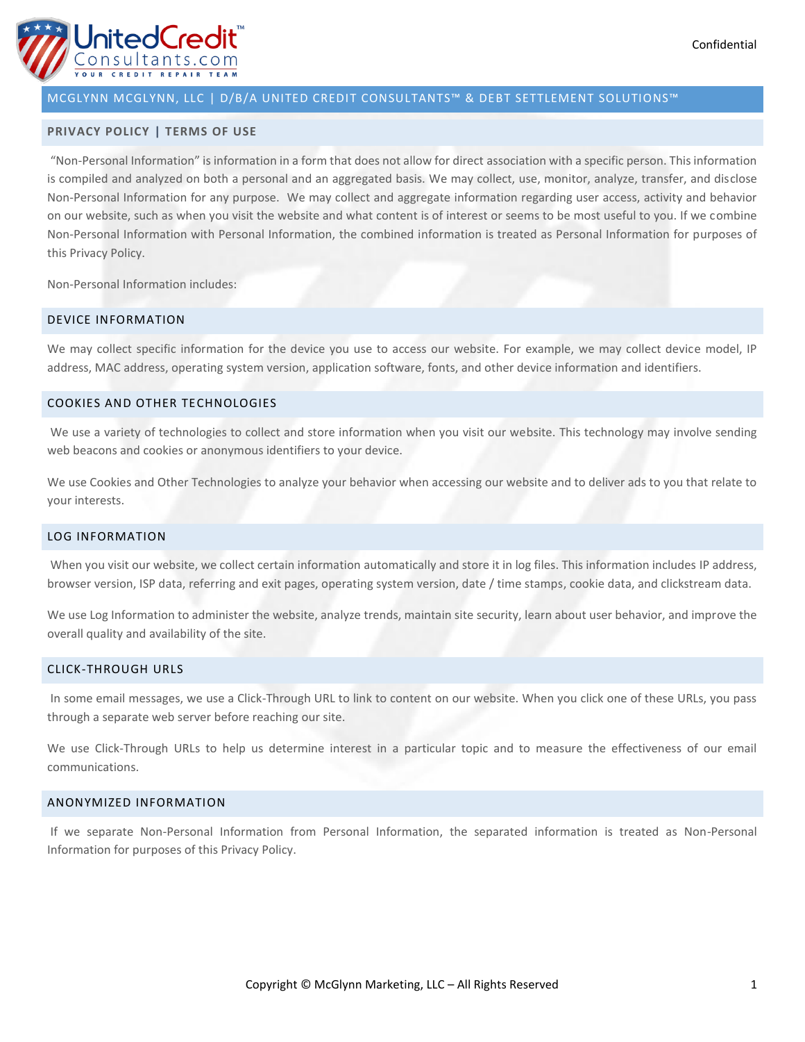

#### **PRIVACY POLICY | TERMS OF USE**

"Non-Personal Information" is information in a form that does not allow for direct association with a specific person. This information is compiled and analyzed on both a personal and an aggregated basis. We may collect, use, monitor, analyze, transfer, and disclose Non-Personal Information for any purpose. We may collect and aggregate information regarding user access, activity and behavior on our website, such as when you visit the website and what content is of interest or seems to be most useful to you. If we combine Non-Personal Information with Personal Information, the combined information is treated as Personal Information for purposes of this Privacy Policy.

Non-Personal Information includes:

### DEVICE INFORMATION

We may collect specific information for the device you use to access our website. For example, we may collect device model, IP address, MAC address, operating system version, application software, fonts, and other device information and identifiers.

#### COOKIES AND OTHER TECHNOLOGIES

We use a variety of technologies to collect and store information when you visit our website. This technology may involve sending web beacons and cookies or anonymous identifiers to your device.

We use Cookies and Other Technologies to analyze your behavior when accessing our website and to deliver ads to you that relate to your interests.

### LOG INFORMATION

When you visit our website, we collect certain information automatically and store it in log files. This information includes IP address, browser version, ISP data, referring and exit pages, operating system version, date / time stamps, cookie data, and clickstream data.

We use Log Information to administer the website, analyze trends, maintain site security, learn about user behavior, and improve the overall quality and availability of the site.

#### CLICK-THROUGH URLS

In some email messages, we use a Click-Through URL to link to content on our website. When you click one of these URLs, you pass through a separate web server before reaching our site.

We use Click-Through URLs to help us determine interest in a particular topic and to measure the effectiveness of our email communications.

### ANONYMIZED INFORMATION

If we separate Non-Personal Information from Personal Information, the separated information is treated as Non-Personal Information for purposes of this Privacy Policy.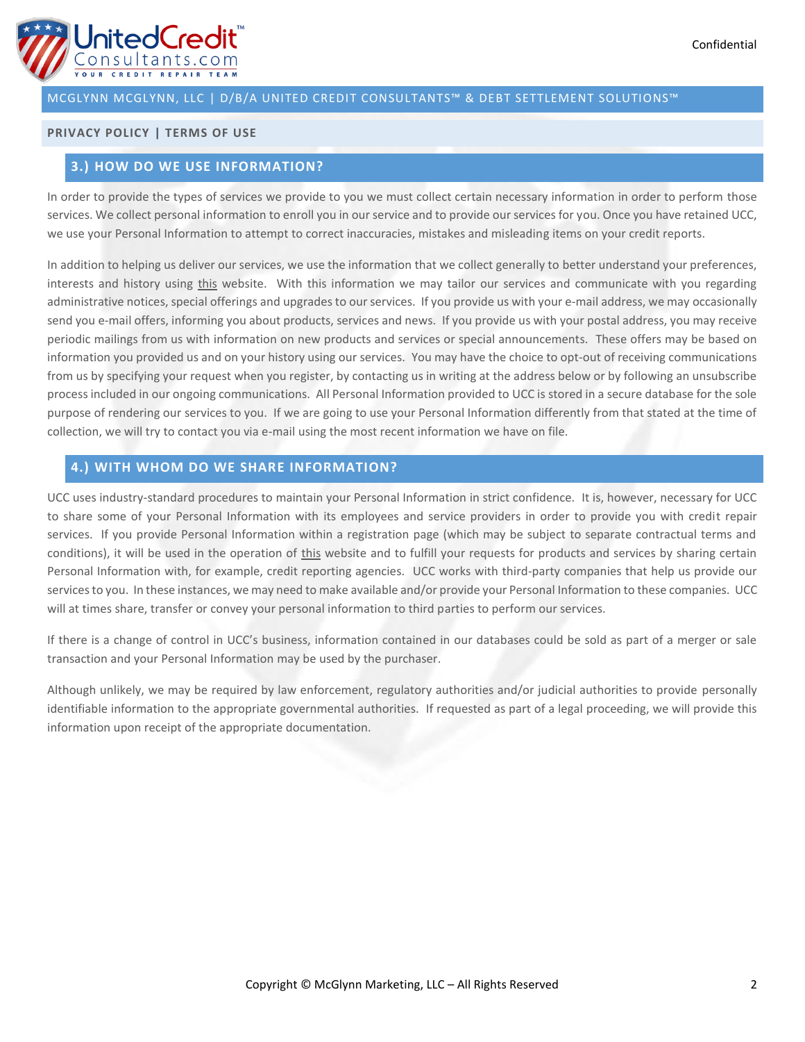# **PRIVACY POLICY | TERMS OF USE**

# **3.) HOW DO WE USE INFORMATION?**

In order to provide the types of services we provide to you we must collect certain necessary information in order to perform those services. We collect personal information to enroll you in our service and to provide our services for you. Once you have retained UCC, we use your Personal Information to attempt to correct inaccuracies, mistakes and misleading items on your credit reports.

In addition to helping us deliver our services, we use the information that we collect generally to better understand your preferences, interests and history using [this](http://buymnhealthinsurance.com/) website. With this information we may tailor our services and communicate with you regarding administrative notices, special offerings and upgrades to our services. If you provide us with your e-mail address, we may occasionally send you e-mail offers, informing you about products, services and news. If you provide us with your postal address, you may receive periodic mailings from us with information on new products and services or special announcements. These offers may be based on information you provided us and on your history using our services. You may have the choice to opt-out of receiving communications from us by specifying your request when you register, by contacting us in writing at the address below or by following an unsubscribe process included in our ongoing communications. All Personal Information provided to UCC is stored in a secure database for the sole purpose of rendering our services to you. If we are going to use your Personal Information differently from that stated at the time of collection, we will try to contact you via e-mail using the most recent information we have on file.

# **4.) WITH WHOM DO WE SHARE INFORMATION?**

UCC uses industry-standard procedures to maintain your Personal Information in strict confidence. It is, however, necessary for UCC to share some of your Personal Information with its employees and service providers in order to provide you with credit repair services. If you provide Personal Information within a registration page (which may be subject to separate contractual terms and conditions), it will be used in the operation of [this](http://buymnhealthinsurance.com/) website and to fulfill your requests for products and services by sharing certain Personal Information with, for example, credit reporting agencies. UCC works with third-party companies that help us provide our services to you. In these instances, we may need to make available and/or provide your Personal Information to these companies. UCC will at times share, transfer or convey your personal information to third parties to perform our services.

If there is a change of control in UCC's business, information contained in our databases could be sold as part of a merger or sale transaction and your Personal Information may be used by the purchaser.

Although unlikely, we may be required by law enforcement, regulatory authorities and/or judicial authorities to provide personally identifiable information to the appropriate governmental authorities. If requested as part of a legal proceeding, we will provide this information upon receipt of the appropriate documentation.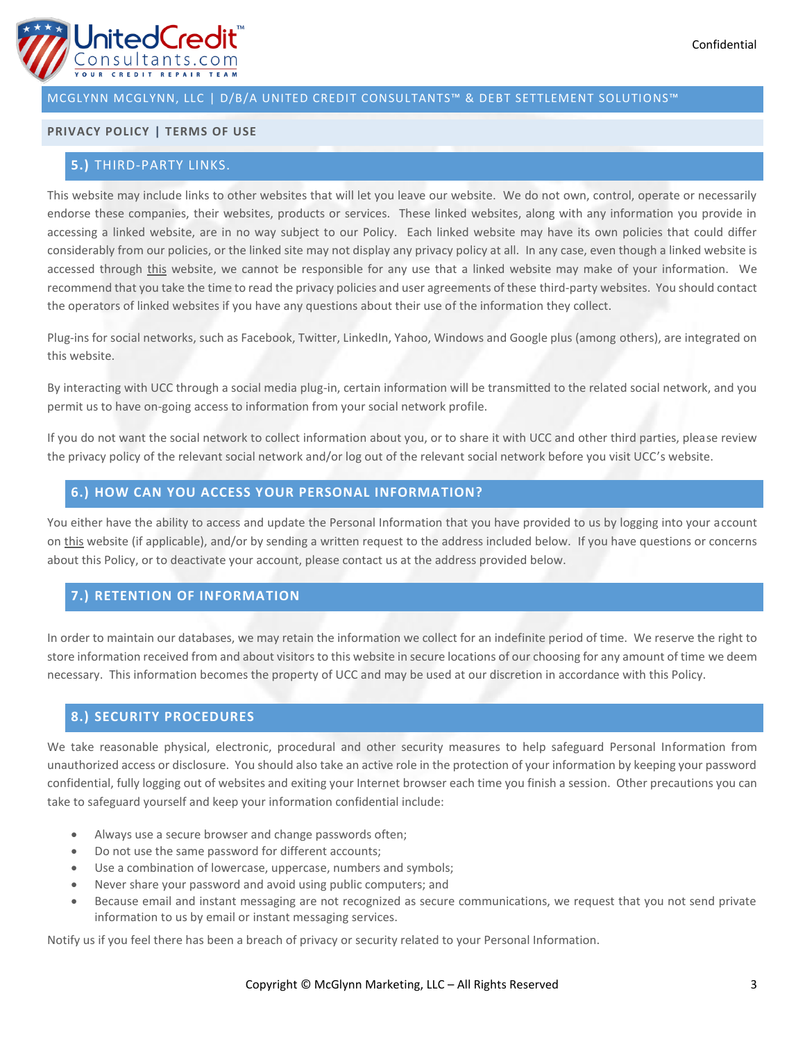

### **PRIVACY POLICY | TERMS OF USE**

# **5.)** THIRD-PARTY LINKS.

This website may include links to other websites that will let you leave our website. We do not own, control, operate or necessarily endorse these companies, their websites, products or services. These linked websites, along with any information you provide in accessing a linked website, are in no way subject to our Policy. Each linked website may have its own policies that could differ considerably from our policies, or the linked site may not display any privacy policy at all. In any case, even though a linked website is accessed through [this](http://buymnhealthinsurance.com/) website, we cannot be responsible for any use that a linked website may make of your information. We recommend that you take the time to read the privacy policies and user agreements of these third-party websites. You should contact the operators of linked websites if you have any questions about their use of the information they collect.

Plug-ins for social networks, such as Facebook, Twitter, LinkedIn, Yahoo, Windows and Google plus (among others), are integrated on this website.

By interacting with UCC through a social media plug-in, certain information will be transmitted to the related social network, and you permit us to have on-going access to information from your social network profile.

If you do not want the social network to collect information about you, or to share it with UCC and other third parties, please review the privacy policy of the relevant social network and/or log out of the relevant social network before you visit UCC's website.

# **6.) HOW CAN YOU ACCESS YOUR PERSONAL INFORMATION?**

You either have the ability to access and update the Personal Information that you have provided to us by logging into your account on [this](http://buymnhealthinsurance.com/) website (if applicable), and/or by sending a written request to the address included below. If you have questions or concerns about this Policy, or to deactivate your account, please contact us at the address provided below.

# **7.) RETENTION OF INFORMATION**

In order to maintain our databases, we may retain the information we collect for an indefinite period of time. We reserve the right to store information received from and about visitors to this website in secure locations of our choosing for any amount of time we deem necessary. This information becomes the property of UCC and may be used at our discretion in accordance with this Policy.

### **8.) SECURITY PROCEDURES**

We take reasonable physical, electronic, procedural and other security measures to help safeguard Personal Information from unauthorized access or disclosure. You should also take an active role in the protection of your information by keeping your password confidential, fully logging out of websites and exiting your Internet browser each time you finish a session. Other precautions you can take to safeguard yourself and keep your information confidential include:

- Always use a secure browser and change passwords often;
- Do not use the same password for different accounts;
- Use a combination of lowercase, uppercase, numbers and symbols;
- Never share your password and avoid using public computers; and
- Because email and instant messaging are not recognized as secure communications, we request that you not send private information to us by email or instant messaging services.

Notify us if you feel there has been a breach of privacy or security related to your Personal Information.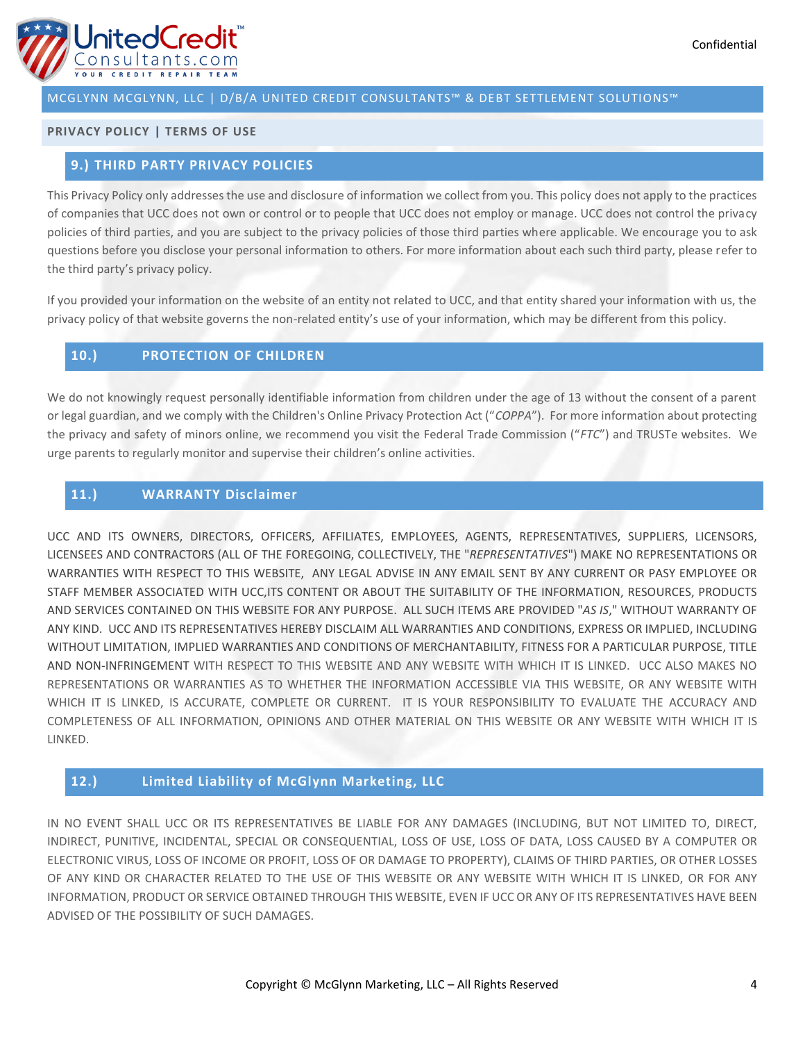

# **PRIVACY POLICY | TERMS OF USE**

# **9.) THIRD PARTY PRIVACY POLICIES**

This Privacy Policy only addresses the use and disclosure of information we collect from you. This policy does not apply to the practices of companies that UCC does not own or control or to people that UCC does not employ or manage. UCC does not control the privacy policies of third parties, and you are subject to the privacy policies of those third parties where applicable. We encourage you to ask questions before you disclose your personal information to others. For more information about each such third party, please refer to the third party's privacy policy.

If you provided your information on the website of an entity not related to UCC, and that entity shared your information with us, the privacy policy of that website governs the non-related entity's use of your information, which may be different from this policy.

# **10.) PROTECTION OF CHILDREN**

We do not knowingly request personally identifiable information from children under the age of 13 without the consent of a parent or legal guardian, and we comply with the Children's Online Privacy Protection Act ("*COPPA*"). For more information about protecting the privacy and safety of minors online, we recommend you visit the Federal Trade Commission ("*FTC*") and TRUSTe websites. We urge parents to regularly monitor and supervise their children's online activities.

# **11.) WARRANTY Disclaimer**

UCC AND ITS OWNERS, DIRECTORS, OFFICERS, AFFILIATES, EMPLOYEES, AGENTS, REPRESENTATIVES, SUPPLIERS, LICENSORS, LICENSEES AND CONTRACTORS (ALL OF THE FOREGOING, COLLECTIVELY, THE "*REPRESENTATIVES*") MAKE NO REPRESENTATIONS OR WARRANTIES WITH RESPECT TO THIS WEBSITE, ANY LEGAL ADVISE IN ANY EMAIL SENT BY ANY CURRENT OR PASY EMPLOYEE OR STAFF MEMBER ASSOCIATED WITH UCC,ITS CONTENT OR ABOUT THE SUITABILITY OF THE INFORMATION, RESOURCES, PRODUCTS AND SERVICES CONTAINED ON THIS WEBSITE FOR ANY PURPOSE. ALL SUCH ITEMS ARE PROVIDED "*AS IS*," WITHOUT WARRANTY OF ANY KIND. UCC AND ITS REPRESENTATIVES HEREBY DISCLAIM ALL WARRANTIES AND CONDITIONS, EXPRESS OR IMPLIED, INCLUDING WITHOUT LIMITATION, IMPLIED WARRANTIES AND CONDITIONS OF MERCHANTABILITY, FITNESS FOR A PARTICULAR PURPOSE, TITLE AND NON-INFRINGEMENT WITH RESPECT TO THIS WEBSITE AND ANY WEBSITE WITH WHICH IT IS LINKED. UCC ALSO MAKES NO REPRESENTATIONS OR WARRANTIES AS TO WHETHER THE INFORMATION ACCESSIBLE VIA THIS WEBSITE, OR ANY WEBSITE WITH WHICH IT IS LINKED, IS ACCURATE, COMPLETE OR CURRENT. IT IS YOUR RESPONSIBILITY TO EVALUATE THE ACCURACY AND COMPLETENESS OF ALL INFORMATION, OPINIONS AND OTHER MATERIAL ON THIS WEBSITE OR ANY WEBSITE WITH WHICH IT IS LINKED.

# **12.) Limited Liability of McGlynn Marketing, LLC**

IN NO EVENT SHALL UCC OR ITS REPRESENTATIVES BE LIABLE FOR ANY DAMAGES (INCLUDING, BUT NOT LIMITED TO, DIRECT, INDIRECT, PUNITIVE, INCIDENTAL, SPECIAL OR CONSEQUENTIAL, LOSS OF USE, LOSS OF DATA, LOSS CAUSED BY A COMPUTER OR ELECTRONIC VIRUS, LOSS OF INCOME OR PROFIT, LOSS OF OR DAMAGE TO PROPERTY), CLAIMS OF THIRD PARTIES, OR OTHER LOSSES OF ANY KIND OR CHARACTER RELATED TO THE USE OF THIS WEBSITE OR ANY WEBSITE WITH WHICH IT IS LINKED, OR FOR ANY INFORMATION, PRODUCT OR SERVICE OBTAINED THROUGH THIS WEBSITE, EVEN IF UCC OR ANY OF ITS REPRESENTATIVES HAVE BEEN ADVISED OF THE POSSIBILITY OF SUCH DAMAGES.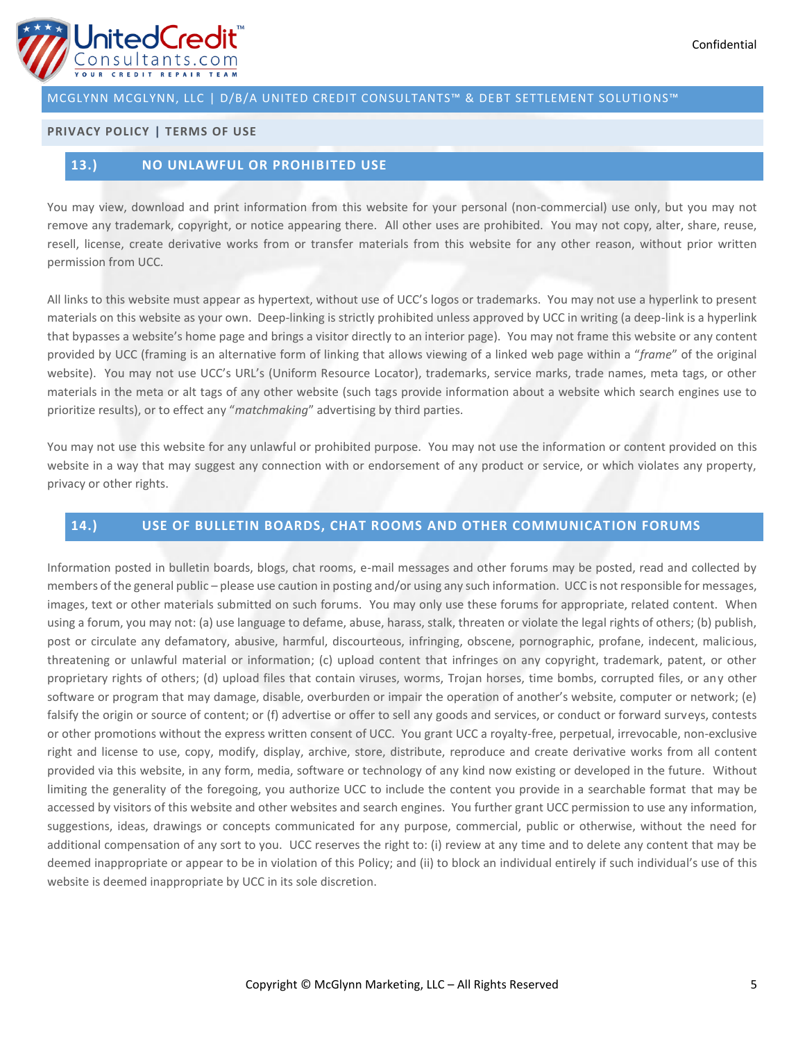

## **PRIVACY POLICY | TERMS OF USE**

# **13.) NO UNLAWFUL OR PROHIBITED USE**

You may view, download and print information from this website for your personal (non-commercial) use only, but you may not remove any trademark, copyright, or notice appearing there. All other uses are prohibited. You may not copy, alter, share, reuse, resell, license, create derivative works from or transfer materials from this website for any other reason, without prior written permission from UCC.

All links to this website must appear as hypertext, without use of UCC's logos or trademarks. You may not use a hyperlink to present materials on this website as your own. Deep-linking is strictly prohibited unless approved by UCC in writing (a deep-link is a hyperlink that bypasses a website's home page and brings a visitor directly to an interior page). You may not frame this website or any content provided by UCC (framing is an alternative form of linking that allows viewing of a linked web page within a "*frame*" of the original website). You may not use UCC's URL's (Uniform Resource Locator), trademarks, service marks, trade names, meta tags, or other materials in the meta or alt tags of any other website (such tags provide information about a website which search engines use to prioritize results), or to effect any "*matchmaking*" advertising by third parties.

You may not use this website for any unlawful or prohibited purpose. You may not use the information or content provided on this website in a way that may suggest any connection with or endorsement of any product or service, or which violates any property, privacy or other rights.

## **14.) USE OF BULLETIN BOARDS, CHAT ROOMS AND OTHER COMMUNICATION FORUMS**

Information posted in bulletin boards, blogs, chat rooms, e-mail messages and other forums may be posted, read and collected by members of the general public – please use caution in posting and/or using any such information. UCC is not responsible for messages, images, text or other materials submitted on such forums. You may only use these forums for appropriate, related content. When using a forum, you may not: (a) use language to defame, abuse, harass, stalk, threaten or violate the legal rights of others; (b) publish, post or circulate any defamatory, abusive, harmful, discourteous, infringing, obscene, pornographic, profane, indecent, malicious, threatening or unlawful material or information; (c) upload content that infringes on any copyright, trademark, patent, or other proprietary rights of others; (d) upload files that contain viruses, worms, Trojan horses, time bombs, corrupted files, or any other software or program that may damage, disable, overburden or impair the operation of another's website, computer or network; (e) falsify the origin or source of content; or (f) advertise or offer to sell any goods and services, or conduct or forward surveys, contests or other promotions without the express written consent of UCC. You grant UCC a royalty-free, perpetual, irrevocable, non-exclusive right and license to use, copy, modify, display, archive, store, distribute, reproduce and create derivative works from all content provided via this website, in any form, media, software or technology of any kind now existing or developed in the future. Without limiting the generality of the foregoing, you authorize UCC to include the content you provide in a searchable format that may be accessed by visitors of this website and other websites and search engines. You further grant UCC permission to use any information, suggestions, ideas, drawings or concepts communicated for any purpose, commercial, public or otherwise, without the need for additional compensation of any sort to you. UCC reserves the right to: (i) review at any time and to delete any content that may be deemed inappropriate or appear to be in violation of this Policy; and (ii) to block an individual entirely if such individual's use of this website is deemed inappropriate by UCC in its sole discretion.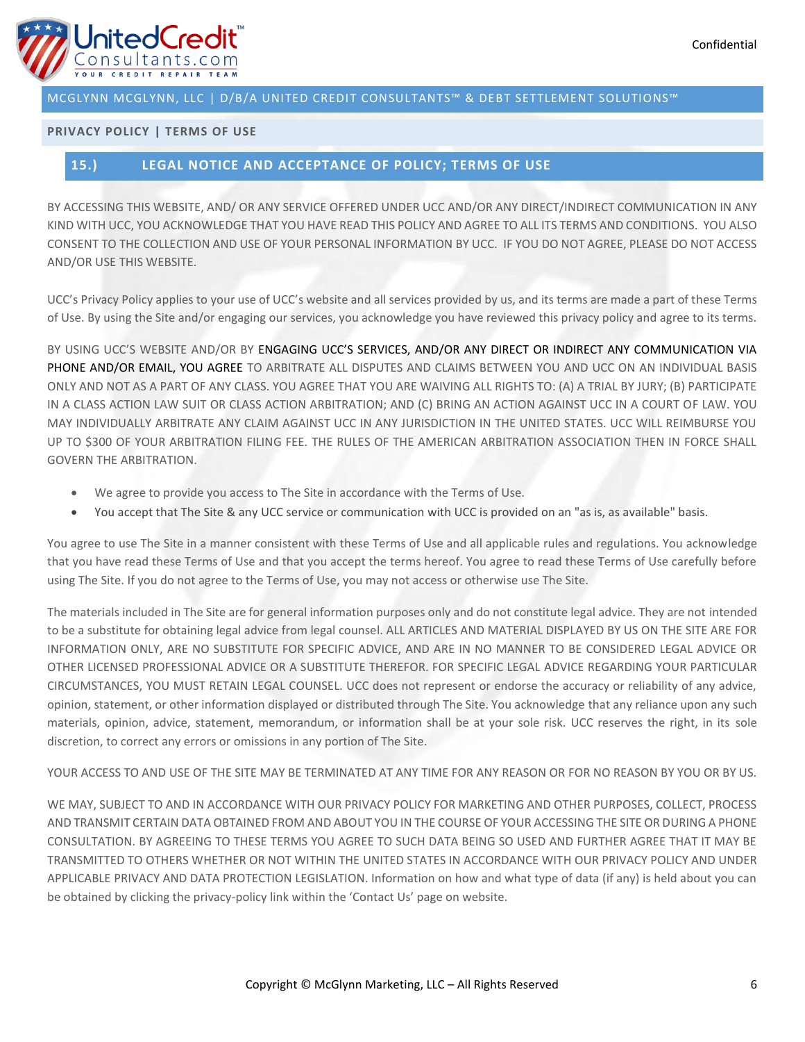

# **PRIVACY POLICY | TERMS OF USE**

# **15.) LEGAL NOTICE AND ACCEPTANCE OF POLICY; TERMS OF USE**

BY ACCESSING THIS WEBSITE, AND/ OR ANY SERVICE OFFERED UNDER UCC AND/OR ANY DIRECT/INDIRECT COMMUNICATION IN ANY KIND WITH UCC, YOU ACKNOWLEDGE THAT YOU HAVE READ THIS POLICY AND AGREE TO ALL ITS TERMS AND CONDITIONS. YOU ALSO CONSENT TO THE COLLECTION AND USE OF YOUR PERSONAL INFORMATION BY UCC. IF YOU DO NOT AGREE, PLEASE DO NOT ACCESS AND/OR USE THIS WEBSITE.

UCC's Privacy Policy applies to your use of UCC's website and all services provided by us, and its terms are made a part of these Terms of Use. By using the Site and/or engaging our services, you acknowledge you have reviewed this privacy policy and agree to its terms.

BY USING UCC'S WEBSITE AND/OR BY ENGAGING UCC'S SERVICES, AND/OR ANY DIRECT OR INDIRECT ANY COMMUNICATION VIA PHONE AND/OR EMAIL, YOU AGREE TO ARBITRATE ALL DISPUTES AND CLAIMS BETWEEN YOU AND UCC ON AN INDIVIDUAL BASIS ONLY AND NOT AS A PART OF ANY CLASS. YOU AGREE THAT YOU ARE WAIVING ALL RIGHTS TO: (A) A TRIAL BY JURY; (B) PARTICIPATE IN A CLASS ACTION LAW SUIT OR CLASS ACTION ARBITRATION; AND (C) BRING AN ACTION AGAINST UCC IN A COURT OF LAW. YOU MAY INDIVIDUALLY ARBITRATE ANY CLAIM AGAINST UCC IN ANY JURISDICTION IN THE UNITED STATES. UCC WILL REIMBURSE YOU UP TO \$300 OF YOUR ARBITRATION FILING FEE. THE RULES OF THE AMERICAN ARBITRATION ASSOCIATION THEN IN FORCE SHALL GOVERN THE ARBITRATION.

- We agree to provide you access to The Site in accordance with the Terms of Use.
- You accept that The Site & any UCC service or communication with UCC is provided on an "as is, as available" basis.

You agree to use The Site in a manner consistent with these Terms of Use and all applicable rules and regulations. You acknowledge that you have read these Terms of Use and that you accept the terms hereof. You agree to read these Terms of Use carefully before using The Site. If you do not agree to the Terms of Use, you may not access or otherwise use The Site.

The materials included in The Site are for general information purposes only and do not constitute legal advice. They are not intended to be a substitute for obtaining legal advice from legal counsel. ALL ARTICLES AND MATERIAL DISPLAYED BY US ON THE SITE ARE FOR INFORMATION ONLY, ARE NO SUBSTITUTE FOR SPECIFIC ADVICE, AND ARE IN NO MANNER TO BE CONSIDERED LEGAL ADVICE OR OTHER LICENSED PROFESSIONAL ADVICE OR A SUBSTITUTE THEREFOR. FOR SPECIFIC LEGAL ADVICE REGARDING YOUR PARTICULAR CIRCUMSTANCES, YOU MUST RETAIN LEGAL COUNSEL. UCC does not represent or endorse the accuracy or reliability of any advice, opinion, statement, or other information displayed or distributed through The Site. You acknowledge that any reliance upon any such materials, opinion, advice, statement, memorandum, or information shall be at your sole risk. UCC reserves the right, in its sole discretion, to correct any errors or omissions in any portion of The Site.

YOUR ACCESS TO AND USE OF THE SITE MAY BE TERMINATED AT ANY TIME FOR ANY REASON OR FOR NO REASON BY YOU OR BY US.

WE MAY, SUBJECT TO AND IN ACCORDANCE WITH OUR PRIVACY POLICY FOR MARKETING AND OTHER PURPOSES, COLLECT, PROCESS AND TRANSMIT CERTAIN DATA OBTAINED FROM AND ABOUT YOU IN THE COURSE OF YOUR ACCESSING THE SITE OR DURING A PHONE CONSULTATION. BY AGREEING TO THESE TERMS YOU AGREE TO SUCH DATA BEING SO USED AND FURTHER AGREE THAT IT MAY BE TRANSMITTED TO OTHERS WHETHER OR NOT WITHIN THE UNITED STATES IN ACCORDANCE WITH OUR PRIVACY POLICY AND UNDER APPLICABLE PRIVACY AND DATA PROTECTION LEGISLATION. Information on how and what type of data (if any) is held about you can be obtained by clicking the privacy-policy link within the 'Contact Us' page on website.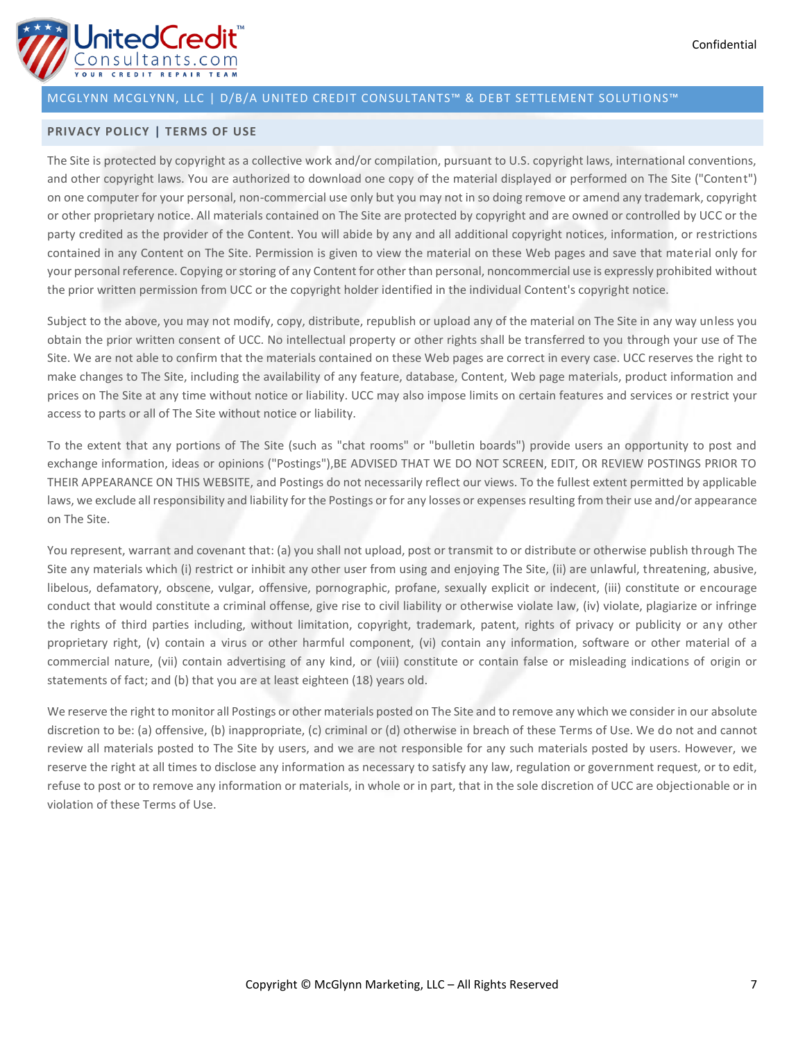

### **PRIVACY POLICY | TERMS OF USE**

The Site is protected by copyright as a collective work and/or compilation, pursuant to U.S. copyright laws, international conventions, and other copyright laws. You are authorized to download one copy of the material displayed or performed on The Site ("Content") on one computer for your personal, non-commercial use only but you may not in so doing remove or amend any trademark, copyright or other proprietary notice. All materials contained on The Site are protected by copyright and are owned or controlled by UCC or the party credited as the provider of the Content. You will abide by any and all additional copyright notices, information, or restrictions contained in any Content on The Site. Permission is given to view the material on these Web pages and save that material only for your personal reference. Copying or storing of any Content for other than personal, noncommercial use is expressly prohibited without the prior written permission from UCC or the copyright holder identified in the individual Content's copyright notice.

Subject to the above, you may not modify, copy, distribute, republish or upload any of the material on The Site in any way unless you obtain the prior written consent of UCC. No intellectual property or other rights shall be transferred to you through your use of The Site. We are not able to confirm that the materials contained on these Web pages are correct in every case. UCC reserves the right to make changes to The Site, including the availability of any feature, database, Content, Web page materials, product information and prices on The Site at any time without notice or liability. UCC may also impose limits on certain features and services or restrict your access to parts or all of The Site without notice or liability.

To the extent that any portions of The Site (such as "chat rooms" or "bulletin boards") provide users an opportunity to post and exchange information, ideas or opinions ("Postings"),BE ADVISED THAT WE DO NOT SCREEN, EDIT, OR REVIEW POSTINGS PRIOR TO THEIR APPEARANCE ON THIS WEBSITE, and Postings do not necessarily reflect our views. To the fullest extent permitted by applicable laws, we exclude all responsibility and liability for the Postings or for any losses or expenses resulting from their use and/or appearance on The Site.

You represent, warrant and covenant that: (a) you shall not upload, post or transmit to or distribute or otherwise publish through The Site any materials which (i) restrict or inhibit any other user from using and enjoying The Site, (ii) are unlawful, threatening, abusive, libelous, defamatory, obscene, vulgar, offensive, pornographic, profane, sexually explicit or indecent, (iii) constitute or encourage conduct that would constitute a criminal offense, give rise to civil liability or otherwise violate law, (iv) violate, plagiarize or infringe the rights of third parties including, without limitation, copyright, trademark, patent, rights of privacy or publicity or any other proprietary right, (v) contain a virus or other harmful component, (vi) contain any information, software or other material of a commercial nature, (vii) contain advertising of any kind, or (viii) constitute or contain false or misleading indications of origin or statements of fact; and (b) that you are at least eighteen (18) years old.

We reserve the right to monitor all Postings or other materials posted on The Site and to remove any which we consider in our absolute discretion to be: (a) offensive, (b) inappropriate, (c) criminal or (d) otherwise in breach of these Terms of Use. We do not and cannot review all materials posted to The Site by users, and we are not responsible for any such materials posted by users. However, we reserve the right at all times to disclose any information as necessary to satisfy any law, regulation or government request, or to edit, refuse to post or to remove any information or materials, in whole or in part, that in the sole discretion of UCC are objectionable or in violation of these Terms of Use.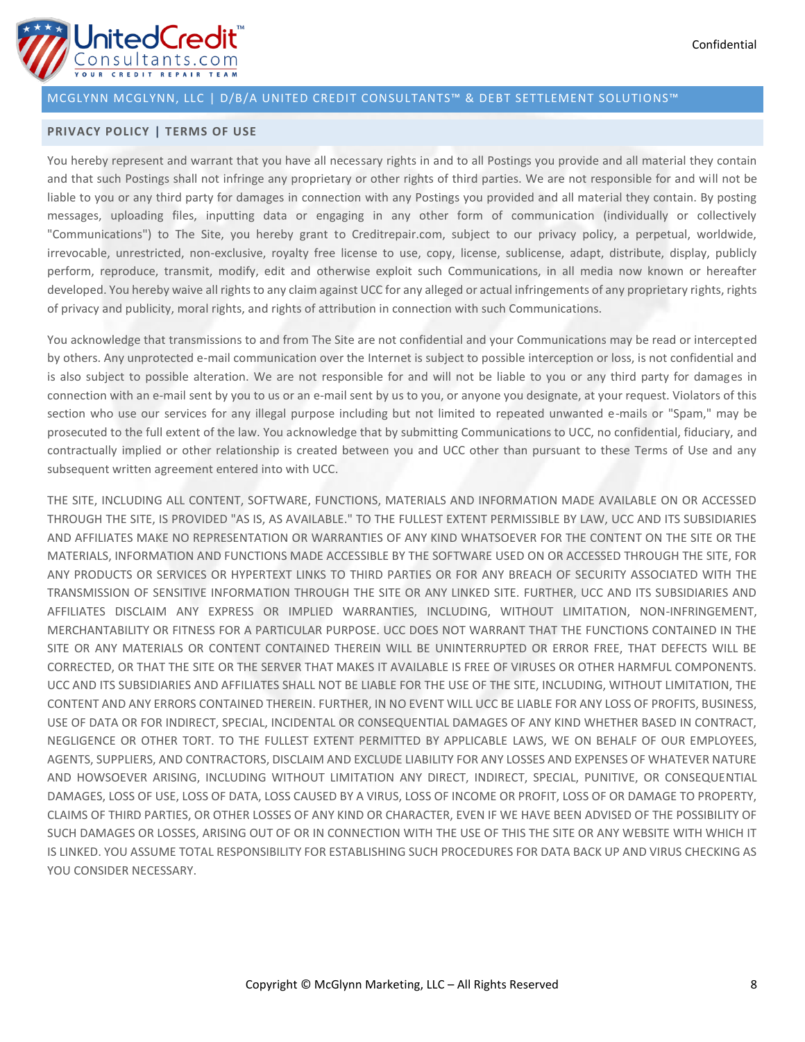

### **PRIVACY POLICY | TERMS OF USE**

You hereby represent and warrant that you have all necessary rights in and to all Postings you provide and all material they contain and that such Postings shall not infringe any proprietary or other rights of third parties. We are not responsible for and will not be liable to you or any third party for damages in connection with any Postings you provided and all material they contain. By posting messages, uploading files, inputting data or engaging in any other form of communication (individually or collectively "Communications") to The Site, you hereby grant to Creditrepair.com, subject to our privacy policy, a perpetual, worldwide, irrevocable, unrestricted, non-exclusive, royalty free license to use, copy, license, sublicense, adapt, distribute, display, publicly perform, reproduce, transmit, modify, edit and otherwise exploit such Communications, in all media now known or hereafter developed. You hereby waive all rights to any claim against UCC for any alleged or actual infringements of any proprietary rights, rights of privacy and publicity, moral rights, and rights of attribution in connection with such Communications.

You acknowledge that transmissions to and from The Site are not confidential and your Communications may be read or intercepted by others. Any unprotected e-mail communication over the Internet is subject to possible interception or loss, is not confidential and is also subject to possible alteration. We are not responsible for and will not be liable to you or any third party for damages in connection with an e-mail sent by you to us or an e-mail sent by us to you, or anyone you designate, at your request. Violators of this section who use our services for any illegal purpose including but not limited to repeated unwanted e-mails or "Spam," may be prosecuted to the full extent of the law. You acknowledge that by submitting Communications to UCC, no confidential, fiduciary, and contractually implied or other relationship is created between you and UCC other than pursuant to these Terms of Use and any subsequent written agreement entered into with UCC.

THE SITE, INCLUDING ALL CONTENT, SOFTWARE, FUNCTIONS, MATERIALS AND INFORMATION MADE AVAILABLE ON OR ACCESSED THROUGH THE SITE, IS PROVIDED "AS IS, AS AVAILABLE." TO THE FULLEST EXTENT PERMISSIBLE BY LAW, UCC AND ITS SUBSIDIARIES AND AFFILIATES MAKE NO REPRESENTATION OR WARRANTIES OF ANY KIND WHATSOEVER FOR THE CONTENT ON THE SITE OR THE MATERIALS, INFORMATION AND FUNCTIONS MADE ACCESSIBLE BY THE SOFTWARE USED ON OR ACCESSED THROUGH THE SITE, FOR ANY PRODUCTS OR SERVICES OR HYPERTEXT LINKS TO THIRD PARTIES OR FOR ANY BREACH OF SECURITY ASSOCIATED WITH THE TRANSMISSION OF SENSITIVE INFORMATION THROUGH THE SITE OR ANY LINKED SITE. FURTHER, UCC AND ITS SUBSIDIARIES AND AFFILIATES DISCLAIM ANY EXPRESS OR IMPLIED WARRANTIES, INCLUDING, WITHOUT LIMITATION, NON-INFRINGEMENT, MERCHANTABILITY OR FITNESS FOR A PARTICULAR PURPOSE. UCC DOES NOT WARRANT THAT THE FUNCTIONS CONTAINED IN THE SITE OR ANY MATERIALS OR CONTENT CONTAINED THEREIN WILL BE UNINTERRUPTED OR ERROR FREE, THAT DEFECTS WILL BE CORRECTED, OR THAT THE SITE OR THE SERVER THAT MAKES IT AVAILABLE IS FREE OF VIRUSES OR OTHER HARMFUL COMPONENTS. UCC AND ITS SUBSIDIARIES AND AFFILIATES SHALL NOT BE LIABLE FOR THE USE OF THE SITE, INCLUDING, WITHOUT LIMITATION, THE CONTENT AND ANY ERRORS CONTAINED THEREIN. FURTHER, IN NO EVENT WILL UCC BE LIABLE FOR ANY LOSS OF PROFITS, BUSINESS, USE OF DATA OR FOR INDIRECT, SPECIAL, INCIDENTAL OR CONSEQUENTIAL DAMAGES OF ANY KIND WHETHER BASED IN CONTRACT, NEGLIGENCE OR OTHER TORT. TO THE FULLEST EXTENT PERMITTED BY APPLICABLE LAWS, WE ON BEHALF OF OUR EMPLOYEES, AGENTS, SUPPLIERS, AND CONTRACTORS, DISCLAIM AND EXCLUDE LIABILITY FOR ANY LOSSES AND EXPENSES OF WHATEVER NATURE AND HOWSOEVER ARISING, INCLUDING WITHOUT LIMITATION ANY DIRECT, INDIRECT, SPECIAL, PUNITIVE, OR CONSEQUENTIAL DAMAGES, LOSS OF USE, LOSS OF DATA, LOSS CAUSED BY A VIRUS, LOSS OF INCOME OR PROFIT, LOSS OF OR DAMAGE TO PROPERTY, CLAIMS OF THIRD PARTIES, OR OTHER LOSSES OF ANY KIND OR CHARACTER, EVEN IF WE HAVE BEEN ADVISED OF THE POSSIBILITY OF SUCH DAMAGES OR LOSSES, ARISING OUT OF OR IN CONNECTION WITH THE USE OF THIS THE SITE OR ANY WEBSITE WITH WHICH IT IS LINKED. YOU ASSUME TOTAL RESPONSIBILITY FOR ESTABLISHING SUCH PROCEDURES FOR DATA BACK UP AND VIRUS CHECKING AS YOU CONSIDER NECESSARY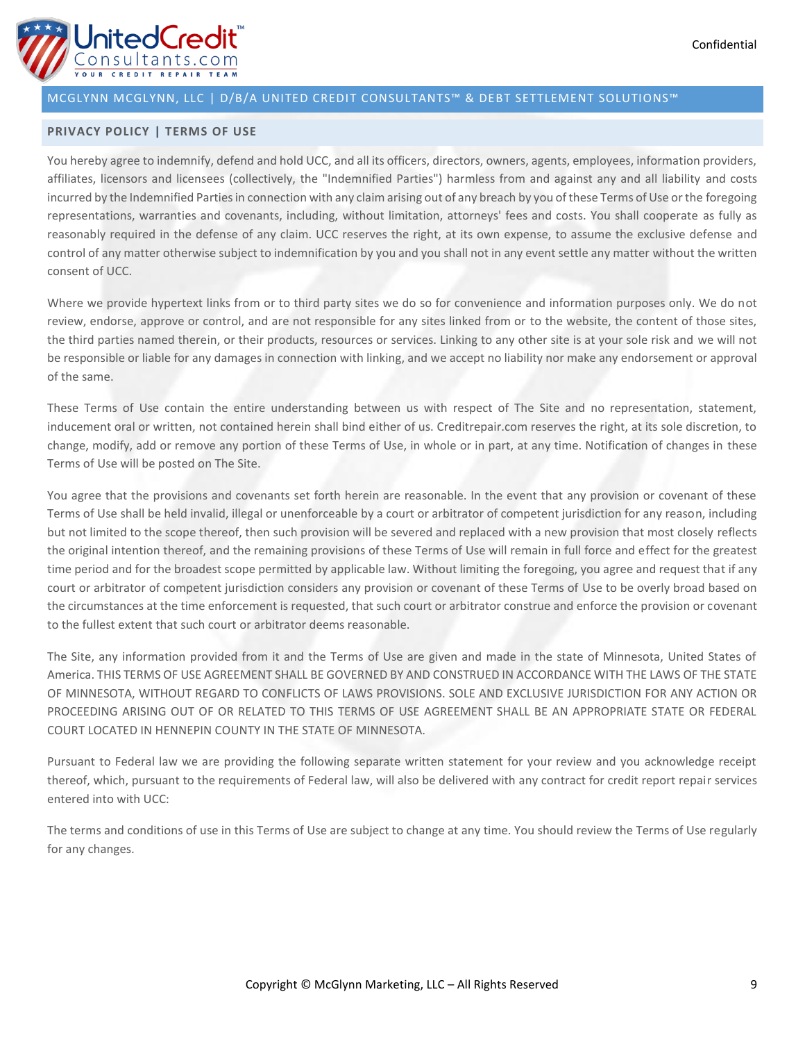

### **PRIVACY POLICY | TERMS OF USE**

You hereby agree to indemnify, defend and hold UCC, and all its officers, directors, owners, agents, employees, information providers, affiliates, licensors and licensees (collectively, the "Indemnified Parties") harmless from and against any and all liability and costs incurred by the Indemnified Parties in connection with any claim arising out of any breach by you of these Terms of Use or the foregoing representations, warranties and covenants, including, without limitation, attorneys' fees and costs. You shall cooperate as fully as reasonably required in the defense of any claim. UCC reserves the right, at its own expense, to assume the exclusive defense and control of any matter otherwise subject to indemnification by you and you shall not in any event settle any matter without the written consent of UCC.

Where we provide hypertext links from or to third party sites we do so for convenience and information purposes only. We do not review, endorse, approve or control, and are not responsible for any sites linked from or to the website, the content of those sites, the third parties named therein, or their products, resources or services. Linking to any other site is at your sole risk and we will not be responsible or liable for any damages in connection with linking, and we accept no liability nor make any endorsement or approval of the same.

These Terms of Use contain the entire understanding between us with respect of The Site and no representation, statement, inducement oral or written, not contained herein shall bind either of us. Creditrepair.com reserves the right, at its sole discretion, to change, modify, add or remove any portion of these Terms of Use, in whole or in part, at any time. Notification of changes in these Terms of Use will be posted on The Site.

You agree that the provisions and covenants set forth herein are reasonable. In the event that any provision or covenant of these Terms of Use shall be held invalid, illegal or unenforceable by a court or arbitrator of competent jurisdiction for any reason, including but not limited to the scope thereof, then such provision will be severed and replaced with a new provision that most closely reflects the original intention thereof, and the remaining provisions of these Terms of Use will remain in full force and effect for the greatest time period and for the broadest scope permitted by applicable law. Without limiting the foregoing, you agree and request that if any court or arbitrator of competent jurisdiction considers any provision or covenant of these Terms of Use to be overly broad based on the circumstances at the time enforcement is requested, that such court or arbitrator construe and enforce the provision or covenant to the fullest extent that such court or arbitrator deems reasonable.

The Site, any information provided from it and the Terms of Use are given and made in the state of Minnesota, United States of America. THIS TERMS OF USE AGREEMENT SHALL BE GOVERNED BY AND CONSTRUED IN ACCORDANCE WITH THE LAWS OF THE STATE OF MINNESOTA, WITHOUT REGARD TO CONFLICTS OF LAWS PROVISIONS. SOLE AND EXCLUSIVE JURISDICTION FOR ANY ACTION OR PROCEEDING ARISING OUT OF OR RELATED TO THIS TERMS OF USE AGREEMENT SHALL BE AN APPROPRIATE STATE OR FEDERAL COURT LOCATED IN HENNEPIN COUNTY IN THE STATE OF MINNESOTA.

Pursuant to Federal law we are providing the following separate written statement for your review and you acknowledge receipt thereof, which, pursuant to the requirements of Federal law, will also be delivered with any contract for credit report repair services entered into with UCC:

The terms and conditions of use in this Terms of Use are subject to change at any time. You should review the Terms of Use regularly for any changes.